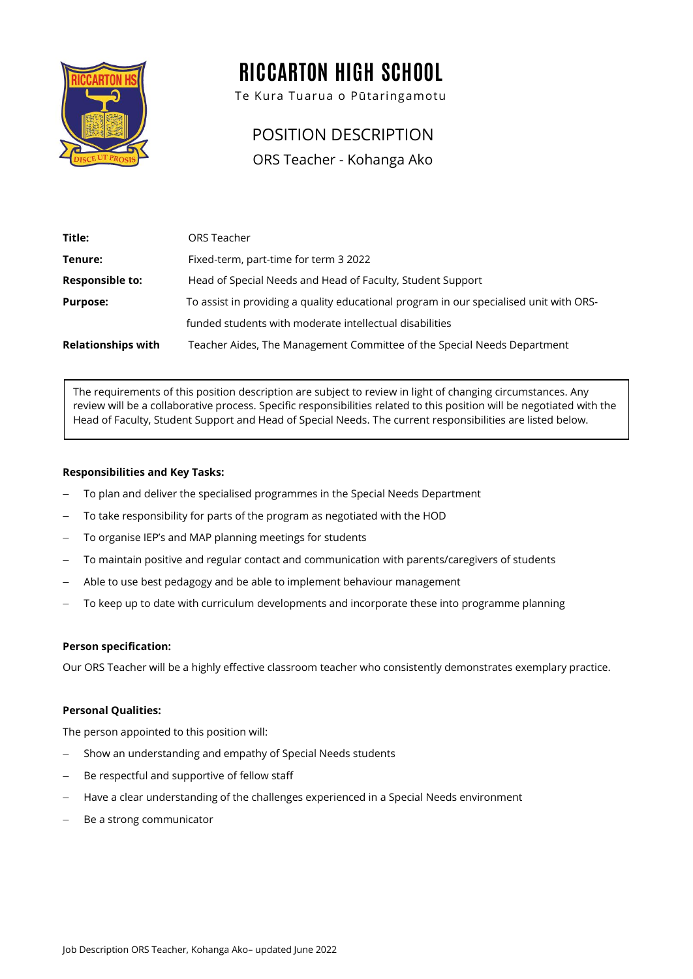

# RICCARTON HIGH SCHOOL

Te Kura Tuarua o Pūtaringamotu

# POSITION DESCRIPTION

ORS Teacher - Kohanga Ako

| Title:                    | ORS Teacher                                                                            |
|---------------------------|----------------------------------------------------------------------------------------|
| Tenure:                   | Fixed-term, part-time for term 3 2022                                                  |
| <b>Responsible to:</b>    | Head of Special Needs and Head of Faculty, Student Support                             |
| <b>Purpose:</b>           | To assist in providing a quality educational program in our specialised unit with ORS- |
|                           | funded students with moderate intellectual disabilities                                |
| <b>Relationships with</b> | Teacher Aides, The Management Committee of the Special Needs Department                |

The requirements of this position description are subject to review in light of changing circumstances. Any review will be a collaborative process. Specific responsibilities related to this position will be negotiated with the Head of Faculty, Student Support and Head of Special Needs. The current responsibilities are listed below.

### **Responsibilities and Key Tasks:**

- To plan and deliver the specialised programmes in the Special Needs Department
- To take responsibility for parts of the program as negotiated with the HOD
- To organise IEP's and MAP planning meetings for students
- To maintain positive and regular contact and communication with parents/caregivers of students
- − Able to use best pedagogy and be able to implement behaviour management
- To keep up to date with curriculum developments and incorporate these into programme planning

#### **Person specification:**

Our ORS Teacher will be a highly effective classroom teacher who consistently demonstrates exemplary practice.

#### **Personal Qualities:**

The person appointed to this position will:

- Show an understanding and empathy of Special Needs students
- Be respectful and supportive of fellow staff
- − Have a clear understanding of the challenges experienced in a Special Needs environment
- − Be a strong communicator